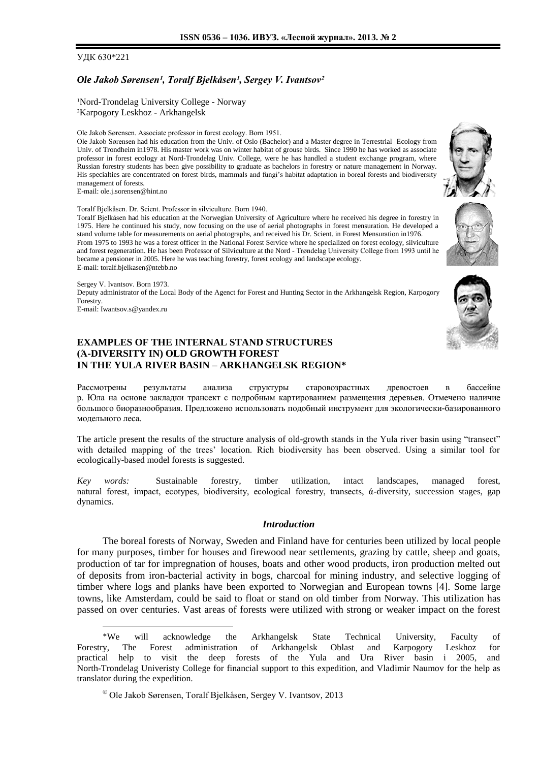## УДК 630\*221

## *Ole Jakob Sørensen¹, Toralf Bjelkåsen¹, Sergey V. Ivantsov²*

<sup>1</sup>Nord-Trondelag University College - Norway ²Karpogory Leskhoz - Arkhangelsk

Ole Jakob Sørensen. Associate professor in forest ecology. Born 1951.

Ole Jakob Sørensen had his education from the Univ. of Oslo (Bachelor) and a Master degree in Terrestrial Ecology from Univ. of Trondheim in1978. His master work was on winter habitat of grouse birds. Since 1990 he has worked as associate professor in forest ecology at Nord-Trondelag Univ. College, were he has handled a student exchange program, where Russian forestry students has been give possibility to graduate as bachelors in forestry or nature management in Norway. His specialties are concentrated on forest birds, mammals and fungi's habitat adaptation in boreal forests and biodiversity management of forests.

E-mail[: ole.j.sorensen@hint.no](mailto:ole.j.sorensen@hint.no)

Toralf Bjelkåsen. Dr. Scient. Professor in silviculture. Born 1940.

Toralf Bjelkåsen had his education at the Norwegian University of Agriculture where he received his degree in forestry in 1975. Here he continued his study, now focusing on the use of aerial photographs in forest mensuration. He developed a stand volume table for measurements on aerial photographs, and received his Dr. Scient. in Forest Mensuration in1976. From 1975 to 1993 he was a forest officer in the National Forest Service where he specialized on forest ecology, silviculture and forest regeneration. He has been Professor of Silviculture at the Nord - Trøndelag University College from 1993 until he became a pensioner in 2005. Here he was teaching forestry, forest ecology and landscape ecology. E-mail[: toralf.bjelkasen@ntebb.no](mailto:toralf.bjelkasen@ntebb.no)

Sergey V. Ivantsov. Born 1973.

Deputy administrator of the Local Body of the Agenct for Forest and Hunting Sector in the Arkhangelsk Region, Karpogory **Forestry** 

E-mail: Iwantsov.s@yandex.ru

l

# **EXAMPLES OF THE INTERNAL STAND STRUCTURES (Ά-DIVERSITY IN) OLD GROWTH FOREST IN THE YULA RIVER BASIN – ARKHANGELSK REGION\***

Рассмотрены результаты анализа структуры старовозрастных древостоев в бассейне р. Юла на основе закладки трансект с подробным картированием размещения деревьев. Отмечено наличие большого биоразнообразия. Предложено использовать подобный инструмент для экологически-базированного модельного леса.

The article present the results of the structure analysis of old-growth stands in the Yula river basin using "transect" with detailed mapping of the trees' location. Rich biodiversity has been observed. Using a similar tool for ecologically-based model forests is suggested.

*Key words:*Sustainable forestry*,* timber utilization, intact landscapes, managed forest, natural forest, impact, ecotypes, biodiversity, ecological forestry, transects, ά-diversity, succession stages, gap dynamics.

### *Introduction*

The boreal forests of Norway, Sweden and Finland have for centuries been utilized by local people for many purposes, timber for houses and firewood near settlements, grazing by cattle, sheep and goats, production of tar for impregnation of houses, boats and other wood products, iron production melted out of deposits from iron-bacterial activity in bogs, charcoal for mining industry, and selective logging of timber where logs and planks have been exported to Norwegian and European towns [4]. Some large towns, like Amsterdam, could be said to float or stand on old timber from Norway. This utilization has passed on over centuries. Vast areas of forests were utilized with strong or weaker impact on the forest





<sup>\*</sup>We will acknowledge the Arkhangelsk State Technical University, Faculty of Forestry, The Forest administration of Arkhangelsk Oblast and Karpogory Leskhoz for practical help to visit the deep forests of the Yula and Ura River basin i 2005, and North-Trondelag Univeristy College for financial support to this expedition, and Vladimir Naumov for the help as translator during the expedition.

Ole Jakob Sørensen, Toralf Bjelkåsen, Sergey V. Ivantsov, 2013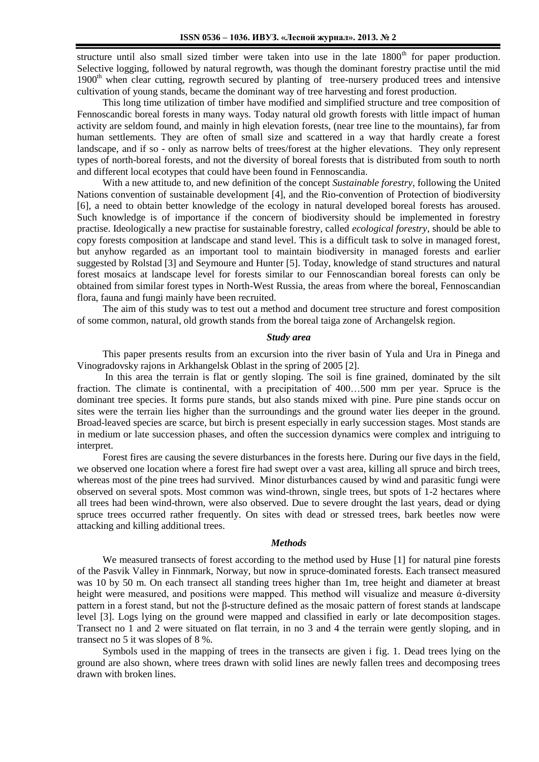structure until also small sized timber were taken into use in the late  $1800<sup>th</sup>$  for paper production. Selective logging, followed by natural regrowth, was though the dominant forestry practise until the mid 1900<sup>th</sup> when clear cutting, regrowth secured by planting of tree-nursery produced trees and intensive cultivation of young stands, became the dominant way of tree harvesting and forest production.

This long time utilization of timber have modified and simplified structure and tree composition of Fennoscandic boreal forests in many ways. Today natural old growth forests with little impact of human activity are seldom found, and mainly in high elevation forests, (near tree line to the mountains), far from human settlements. They are often of small size and scattered in a way that hardly create a forest landscape, and if so - only as narrow belts of trees/forest at the higher elevations. They only represent types of north-boreal forests, and not the diversity of boreal forests that is distributed from south to north and different local ecotypes that could have been found in Fennoscandia.

With a new attitude to, and new definition of the concept *Sustainable forestry*, following the United Nations convention of sustainable development [4], and the Rio-convention of Protection of biodiversity [6], a need to obtain better knowledge of the ecology in natural developed boreal forests has aroused. Such knowledge is of importance if the concern of biodiversity should be implemented in forestry practise. Ideologically a new practise for sustainable forestry, called *ecological forestry*, should be able to copy forests composition at landscape and stand level. This is a difficult task to solve in managed forest, but anyhow regarded as an important tool to maintain biodiversity in managed forests and earlier suggested by Rolstad [3] and Seymoure and Hunter [5]. Today, knowledge of stand structures and natural forest mosaics at landscape level for forests similar to our Fennoscandian boreal forests can only be obtained from similar forest types in North-West Russia, the areas from where the boreal, Fennoscandian flora, fauna and fungi mainly have been recruited.

The aim of this study was to test out a method and document tree structure and forest composition of some common, natural, old growth stands from the boreal taiga zone of Archangelsk region.

#### *Study area*

This paper presents results from an excursion into the river basin of Yula and Ura in Pinega and Vinogradovsky rajons in Arkhangelsk Oblast in the spring of 2005 [2].

In this area the terrain is flat or gently sloping. The soil is fine grained, dominated by the silt fraction. The climate is continental, with a precipitation of 400…500 mm per year. Spruce is the dominant tree species. It forms pure stands, but also stands mixed with pine. Pure pine stands occur on sites were the terrain lies higher than the surroundings and the ground water lies deeper in the ground. Broad-leaved species are scarce, but birch is present especially in early succession stages. Most stands are in medium or late succession phases, and often the succession dynamics were complex and intriguing to interpret.

Forest fires are causing the severe disturbances in the forests here. During our five days in the field, we observed one location where a forest fire had swept over a vast area, killing all spruce and birch trees, whereas most of the pine trees had survived. Minor disturbances caused by wind and parasitic fungi were observed on several spots. Most common was wind-thrown, single trees, but spots of 1-2 hectares where all trees had been wind-thrown, were also observed. Due to severe drought the last years, dead or dying spruce trees occurred rather frequently. On sites with dead or stressed trees, bark beetles now were attacking and killing additional trees.

# *Methods*

We measured transects of forest according to the method used by Huse [1] for natural pine forests of the Pasvik Valley in Finnmark, Norway, but now in spruce-dominated forests. Each transect measured was 10 by 50 m. On each transect all standing trees higher than 1m, tree height and diameter at breast height were measured, and positions were mapped. This method will visualize and measure ά-diversity pattern in a forest stand, but not the β-structure defined as the mosaic pattern of forest stands at landscape level [3]. Logs lying on the ground were mapped and classified in early or late decomposition stages. Transect no 1 and 2 were situated on flat terrain, in no 3 and 4 the terrain were gently sloping, and in transect no 5 it was slopes of 8 %.

Symbols used in the mapping of trees in the transects are given i fig. 1. Dead trees lying on the ground are also shown, where trees drawn with solid lines are newly fallen trees and decomposing trees drawn with broken lines.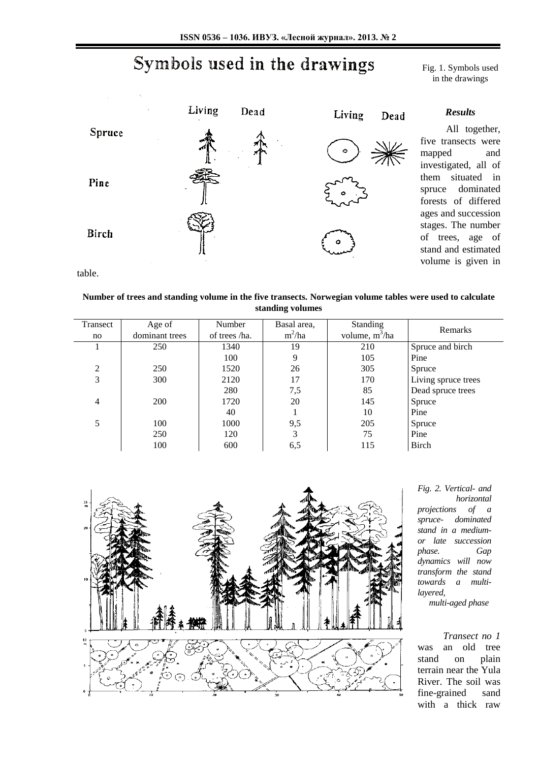# Symbols used in the drawings

Fig. 1. Symbols used in the drawings

All together,



table.

## **Number of trees and standing volume in the five transects. Norwegian volume tables were used to calculate standing volumes**

| Transect       | Age of         | Number        | Basal area, | <b>Standing</b>            | Remarks             |
|----------------|----------------|---------------|-------------|----------------------------|---------------------|
| no             | dominant trees | of trees /ha. | $m^2/ha$    | volume, m <sup>3</sup> /ha |                     |
|                | 250            | 1340          | 19          | 210                        | Spruce and birch    |
|                |                | 100           | 9           | 105                        | Pine                |
| $\overline{c}$ | 250            | 1520          | 26          | 305                        | Spruce              |
| 3              | 300            | 2120          | 17          | 170                        | Living spruce trees |
|                |                | 280           | 7,5         | 85                         | Dead spruce trees   |
| 4              | 200            | 1720          | 20          | 145                        | Spruce              |
|                |                | 40            |             | 10                         | Pine                |
| 5              | 100            | 1000          | 9,5         | 205                        | Spruce              |
|                | 250            | 120           | 3           | 75                         | Pine                |
|                | 100            | 600           | 6,5         | 115                        | Birch               |



*Fig. 2. Vertical- and horizontal projections of a spruce- dominated stand in a mediumor late succession phase. Gap dynamics will now transform the stand towards a multilayered, multi-aged phase*

*Transect no 1* was an old tree stand on plain terrain near the Yula River. The soil was fine-grained sand with a thick raw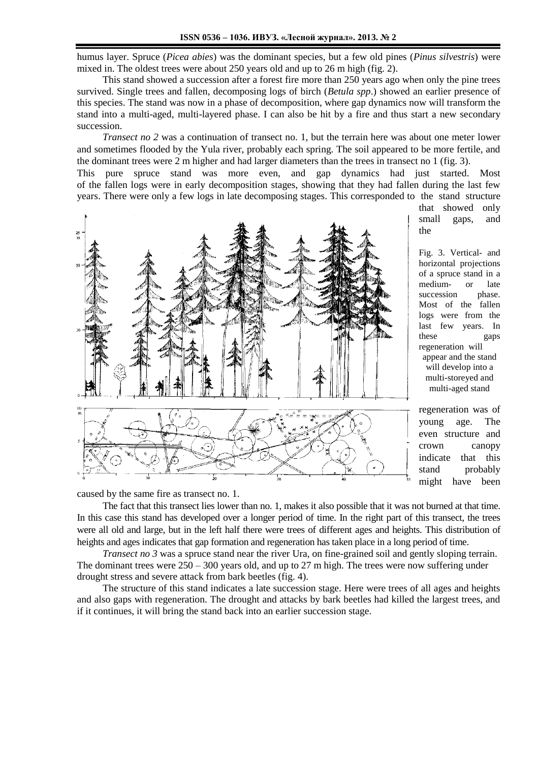humus layer. Spruce (*Picea abies*) was the dominant species, but a few old pines (*Pinus silvestris*) were mixed in. The oldest trees were about 250 years old and up to 26 m high (fig. 2).

This stand showed a succession after a forest fire more than 250 years ago when only the pine trees survived. Single trees and fallen, decomposing logs of birch (*Betula spp*.) showed an earlier presence of this species. The stand was now in a phase of decomposition, where gap dynamics now will transform the stand into a multi-aged, multi-layered phase. I can also be hit by a fire and thus start a new secondary succession.

*Transect no 2* was a continuation of transect no. 1, but the terrain here was about one meter lower and sometimes flooded by the Yula river, probably each spring. The soil appeared to be more fertile, and the dominant trees were 2 m higher and had larger diameters than the trees in transect no 1 (fig. 3).

This pure spruce stand was more even, and gap dynamics had just started. Most of the fallen logs were in early decomposition stages, showing that they had fallen during the last few years. There were only a few logs in late decomposing stages. This corresponded to the stand structure



that showed only small gaps, and the

Fig. 3. Vertical- and horizontal projections of a spruce stand in a medium- or late succession phase. Most of the fallen logs were from the last few years. In these gaps regeneration will appear and the stand will develop into a multi-storeyed and multi-aged stand

regeneration was of young age. The even structure and crown canopy indicate that this stand probably might have been

caused by the same fire as transect no. 1.

The fact that this transect lies lower than no. 1, makes it also possible that it was not burned at that time. In this case this stand has developed over a longer period of time. In the right part of this transect, the trees were all old and large, but in the left half there were trees of different ages and heights. This distribution of heights and ages indicates that gap formation and regeneration has taken place in a long period of time.

*Transect no 3* was a spruce stand near the river Ura, on fine-grained soil and gently sloping terrain. The dominant trees were 250 – 300 years old, and up to 27 m high. The trees were now suffering under drought stress and severe attack from bark beetles (fig. 4).

The structure of this stand indicates a late succession stage. Here were trees of all ages and heights and also gaps with regeneration. The drought and attacks by bark beetles had killed the largest trees, and if it continues, it will bring the stand back into an earlier succession stage.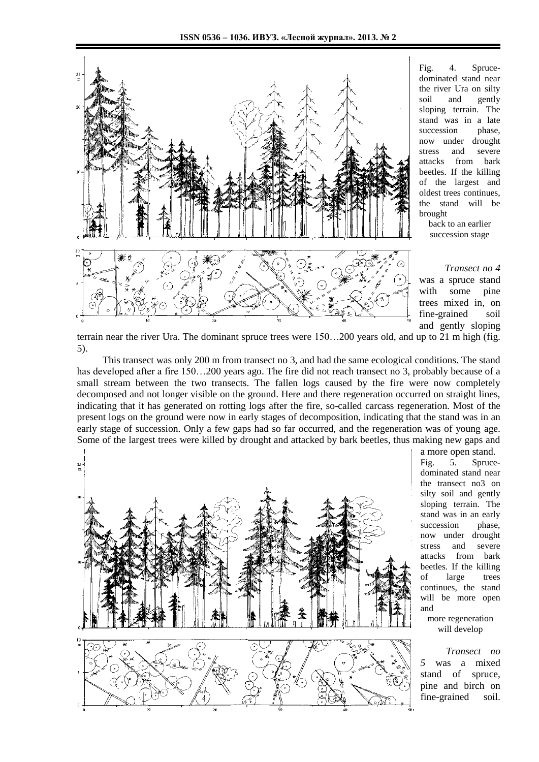

Fig. 4. Sprucedominated stand near the river Ura on silty soil and gently sloping terrain. The stand was in a late succession phase, now under drought stress and severe attacks from bark beetles. If the killing of the largest and oldest trees continues, the stand will be brought

> back to an earlier succession stage

*Transect no 4* was a spruce stand with some pine trees mixed in, on fine-grained soil and gently sloping

terrain near the river Ura. The dominant spruce trees were 150…200 years old, and up to 21 m high (fig. 5).

This transect was only 200 m from transect no 3, and had the same ecological conditions. The stand has developed after a fire 150...200 years ago. The fire did not reach transect no 3, probably because of a small stream between the two transects. The fallen logs caused by the fire were now completely decomposed and not longer visible on the ground. Here and there regeneration occurred on straight lines, indicating that it has generated on rotting logs after the fire, so-called carcass regeneration. Most of the present logs on the ground were now in early stages of decomposition, indicating that the stand was in an early stage of succession. Only a few gaps had so far occurred, and the regeneration was of young age. Some of the largest trees were killed by drought and attacked by bark beetles, thus making new gaps and



a more open stand. Fig. 5. Sprucedominated stand near the transect no3 on silty soil and gently sloping terrain. The stand was in an early succession phase, now under drought stress and severe attacks from bark beetles. If the killing of large trees continues, the stand will be more open and

more regeneration will develop

*Transect no 5* was a mixed stand of spruce, pine and birch on fine-grained soil.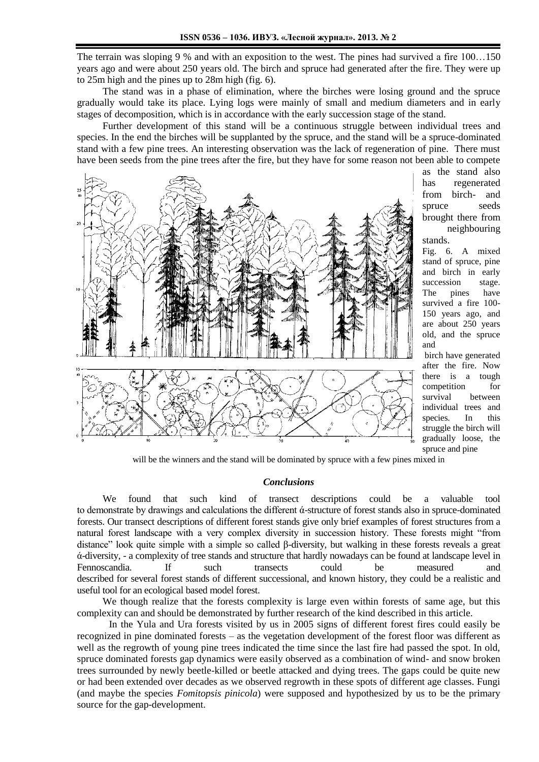The terrain was sloping 9 % and with an exposition to the west. The pines had survived a fire 100…150 years ago and were about 250 years old. The birch and spruce had generated after the fire. They were up to 25m high and the pines up to 28m high (fig. 6).

The stand was in a phase of elimination, where the birches were losing ground and the spruce gradually would take its place. Lying logs were mainly of small and medium diameters and in early stages of decomposition, which is in accordance with the early succession stage of the stand.

Further development of this stand will be a continuous struggle between individual trees and species. In the end the birches will be supplanted by the spruce, and the stand will be a spruce-dominated stand with a few pine trees. An interesting observation was the lack of regeneration of pine. There must have been seeds from the pine trees after the fire, but they have for some reason not been able to compete



as the stand also has regenerated from birch- and spruce seeds brought there from neighbouring stands.

Fig. 6. A mixed stand of spruce, pine and birch in early succession stage. The pines have survived a fire 100- 150 years ago, and are about 250 years old, and the spruce and

birch have generated after the fire. Now there is a tough competition for survival between individual trees and species. In this struggle the birch will gradually loose, the spruce and pine

will be the winners and the stand will be dominated by spruce with a few pines mixed in

#### *Conclusions*

We found that such kind of transect descriptions could be a valuable tool to demonstrate by drawings and calculations the different ά-structure of forest stands also in spruce-dominated forests. Our transect descriptions of different forest stands give only brief examples of forest structures from a natural forest landscape with a very complex diversity in succession history. These forests might "from distance" look quite simple with a simple so called β-diversity, but walking in these forests reveals a great ά-diversity, - a complexity of tree stands and structure that hardly nowadays can be found at landscape level in Fennoscandia. If such transects could be measured and described for several forest stands of different successional, and known history, they could be a realistic and useful tool for an ecological based model forest.

We though realize that the forests complexity is large even within forests of same age, but this complexity can and should be demonstrated by further research of the kind described in this article.

In the Yula and Ura forests visited by us in 2005 signs of different forest fires could easily be recognized in pine dominated forests – as the vegetation development of the forest floor was different as well as the regrowth of young pine trees indicated the time since the last fire had passed the spot. In old, spruce dominated forests gap dynamics were easily observed as a combination of wind- and snow broken trees surrounded by newly beetle-killed or beetle attacked and dying trees. The gaps could be quite new or had been extended over decades as we observed regrowth in these spots of different age classes. Fungi (and maybe the species *Fomitopsis pinicola*) were supposed and hypothesized by us to be the primary source for the gap-development.